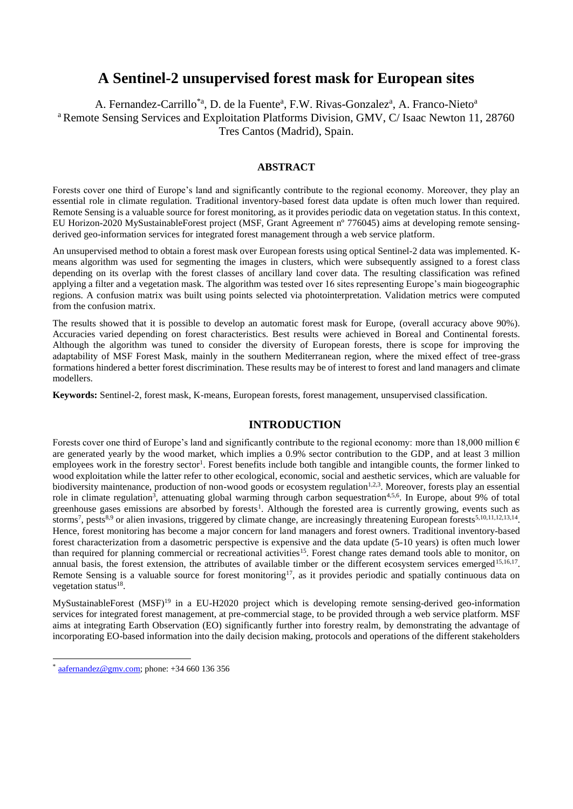# **A Sentinel-2 unsupervised forest mask for European sites**

A. Fernandez-Carrillo<sup>\*a</sup>, D. de la Fuente<sup>a</sup>, F.W. Rivas-Gonzalez<sup>a</sup>, A. Franco-Nieto<sup>a</sup> <sup>a</sup> Remote Sensing Services and Exploitation Platforms Division, GMV, C/ Isaac Newton 11, 28760 Tres Cantos (Madrid), Spain.

## **ABSTRACT**

Forests cover one third of Europe's land and significantly contribute to the regional economy. Moreover, they play an essential role in climate regulation. Traditional inventory-based forest data update is often much lower than required. Remote Sensing is a valuable source for forest monitoring, as it provides periodic data on vegetation status. In this context, EU Horizon-2020 MySustainableForest project (MSF, Grant Agreement nº 776045) aims at developing remote sensingderived geo-information services for integrated forest management through a web service platform.

An unsupervised method to obtain a forest mask over European forests using optical Sentinel-2 data was implemented. Kmeans algorithm was used for segmenting the images in clusters, which were subsequently assigned to a forest class depending on its overlap with the forest classes of ancillary land cover data. The resulting classification was refined applying a filter and a vegetation mask. The algorithm was tested over 16 sites representing Europe's main biogeographic regions. A confusion matrix was built using points selected via photointerpretation. Validation metrics were computed from the confusion matrix.

The results showed that it is possible to develop an automatic forest mask for Europe, (overall accuracy above 90%). Accuracies varied depending on forest characteristics. Best results were achieved in Boreal and Continental forests. Although the algorithm was tuned to consider the diversity of European forests, there is scope for improving the adaptability of MSF Forest Mask, mainly in the southern Mediterranean region, where the mixed effect of tree-grass formations hindered a better forest discrimination. These results may be of interest to forest and land managers and climate modellers.

**Keywords:** Sentinel-2, forest mask, K-means, European forests, forest management, unsupervised classification.

# **INTRODUCTION**

Forests cover one third of Europe's land and significantly contribute to the regional economy: more than 18,000 million  $\epsilon$ are generated yearly by the wood market, which implies a 0.9% sector contribution to the GDP, and at least 3 million employees work in the forestry sector<sup>1</sup>. Forest benefits include both tangible and intangible counts, the former linked to wood exploitation while the latter refer to other ecological, economic, social and aesthetic services, which are valuable for biodiversity maintenance, production of non-wood goods or ecosystem regulation $1,2,3$ . Moreover, forests play an essential role in climate regulation<sup>3</sup>, attenuating global warming through carbon sequestration<sup>4,5,6</sup>. In Europe, about 9% of total greenhouse gases emissions are absorbed by forests<sup>1</sup>. Although the forested area is currently growing, events such as storms<sup>7</sup>, pests<sup>8,9</sup> or alien invasions, triggered by climate change, are increasingly threatening European forests<sup>5,10,11,12,13,14</sup>. Hence, forest monitoring has become a major concern for land managers and forest owners. Traditional inventory-based forest characterization from a dasometric perspective is expensive and the data update (5-10 years) is often much lower than required for planning commercial or recreational activities<sup>15</sup>. Forest change rates demand tools able to monitor, on annual basis, the forest extension, the attributes of available timber or the different ecosystem services emerged<sup>15,16,17</sup>. Remote Sensing is a valuable source for forest monitoring<sup>17</sup>, as it provides periodic and spatially continuous data on vegetation status<sup>18</sup>.

MySustainableForest (MSF)<sup>19</sup> in a EU-H2020 project which is developing remote sensing-derived geo-information services for integrated forest management, at pre-commercial stage, to be provided through a web service platform. MSF aims at integrating Earth Observation (EO) significantly further into forestry realm, by demonstrating the advantage of incorporating EO-based information into the daily decision making, protocols and operations of the different stakeholders

 $\overline{a}$ 

<sup>\*</sup> [aafernandez@gmv.com;](mailto:aafernandez@gmv.com) phone: +34 660 136 356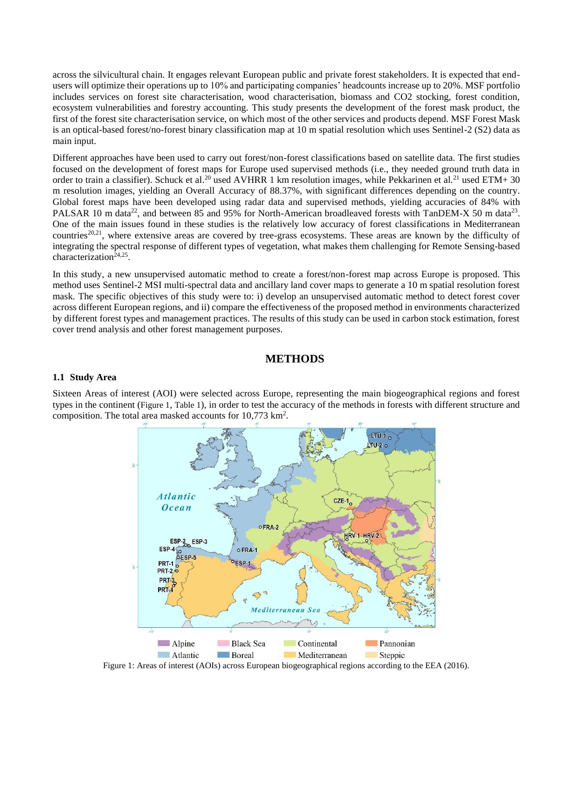across the silvicultural chain. It engages relevant European public and private forest stakeholders. It is expected that endusers will optimize their operations up to 10% and participating companies' headcounts increase up to 20%. MSF portfolio includes services on forest site characterisation, wood characterisation, biomass and CO2 stocking, forest condition, ecosystem vulnerabilities and forestry accounting. This study presents the development of the forest mask product, the first of the forest site characterisation service, on which most of the other services and products depend. MSF Forest Mask is an optical-based forest/no-forest binary classification map at 10 m spatial resolution which uses Sentinel-2 (S2) data as main input.

Different approaches have been used to carry out forest/non-forest classifications based on satellite data. The first studies focused on the development of forest maps for Europe used supervised methods (i.e., they needed ground truth data in order to train a classifier). Schuck et al.<sup>20</sup> used AVHRR 1 km resolution images, while Pekkarinen et al.<sup>21</sup> used ETM+ 30 m resolution images, yielding an Overall Accuracy of 88.37%, with significant differences depending on the country. Global forest maps have been developed using radar data and supervised methods, yielding accuracies of 84% with PALSAR 10 m data<sup>22</sup>, and between 85 and 95% for North-American broadleaved forests with TanDEM-X 50 m data<sup>23</sup>. One of the main issues found in these studies is the relatively low accuracy of forest classifications in Mediterranean countries<sup>20,21</sup>, where extensive areas are covered by tree-grass ecosystems. These areas are known by the difficulty of integrating the spectral response of different types of vegetation, what makes them challenging for Remote Sensing-based characterization<sup>24,25</sup>.

In this study, a new unsupervised automatic method to create a forest/non-forest map across Europe is proposed. This method uses Sentinel-2 MSI multi-spectral data and ancillary land cover maps to generate a 10 m spatial resolution forest mask. The specific objectives of this study were to: i) develop an unsupervised automatic method to detect forest cover across different European regions, and ii) compare the effectiveness of the proposed method in environments characterized by different forest types and management practices. The results of this study can be used in carbon stock estimation, forest cover trend analysis and other forest management purposes.

# **METHODS**

#### **1.1 Study Area**

Sixteen Areas of interest (AOI) were selected across Europe, representing the main biogeographical regions and forest types in the continent ([Figure 1](#page-1-0), [Table 1](#page-2-0)), in order to test the accuracy of the methods in forests with different structure and composition. The total area masked accounts for 10,773 km<sup>2</sup>.



<span id="page-1-0"></span>Figure 1: Areas of interest (AOIs) across European biogeographical regions according to the EEA (2016).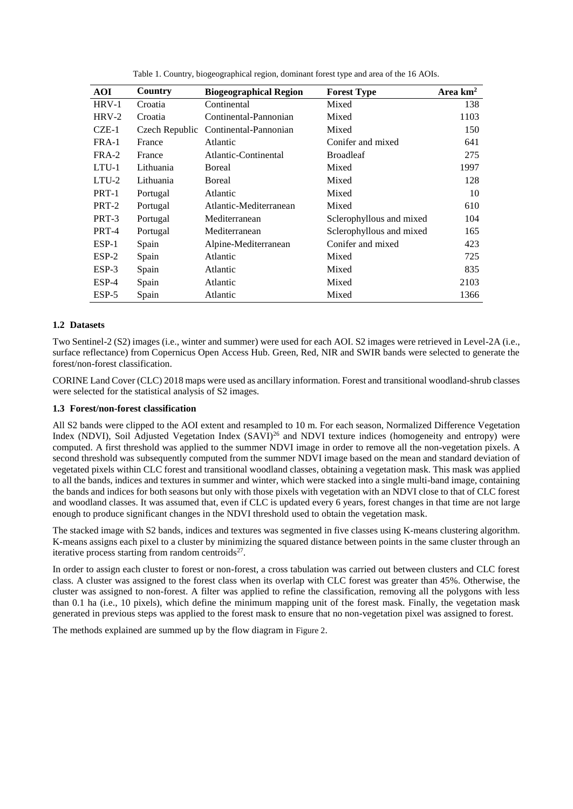<span id="page-2-0"></span>

| <b>AOI</b> | Country        | <b>Biogeographical Region</b> | <b>Forest Type</b>       | Area $km2$ |
|------------|----------------|-------------------------------|--------------------------|------------|
| $HRV-1$    | Croatia        | Continental                   | Mixed                    | 138        |
| $HRV-2$    | Croatia        | Continental-Pannonian         | Mixed                    | 1103       |
| $CZE-1$    | Czech Republic | Continental-Pannonian         | Mixed                    | 150        |
| FRA-1      | France         | Atlantic                      | Conifer and mixed        | 641        |
| FRA-2      | France         | Atlantic-Continental          | <b>Broadleaf</b>         | 275        |
| $LTU-1$    | Lithuania      | Boreal                        | Mixed                    | 1997       |
| $LTU-2$    | Lithuania      | Boreal                        | Mixed                    | 128        |
| PRT-1      | Portugal       | Atlantic                      | Mixed                    | 10         |
| PRT-2      | Portugal       | Atlantic-Mediterranean        | Mixed                    | 610        |
| PRT-3      | Portugal       | Mediterranean                 | Sclerophyllous and mixed | 104        |
| PRT-4      | Portugal       | Mediterranean                 | Sclerophyllous and mixed | 165        |
| $ESP-1$    | Spain          | Alpine-Mediterranean          | Conifer and mixed        | 423        |
| $ESP-2$    | Spain          | Atlantic                      | Mixed                    | 725        |
| ESP-3      | Spain          | Atlantic                      | Mixed                    | 835        |
| $ESP-4$    | Spain          | Atlantic                      | Mixed                    | 2103       |
| $ESP-5$    | Spain          | Atlantic                      | Mixed                    | 1366       |

Table 1. Country, biogeographical region, dominant forest type and area of the 16 AOIs.

# **1.2 Datasets**

Two Sentinel-2 (S2) images (i.e., winter and summer) were used for each AOI. S2 images were retrieved in Level-2A (i.e., surface reflectance) from Copernicus Open Access Hub. Green, Red, NIR and SWIR bands were selected to generate the forest/non-forest classification.

CORINE Land Cover (CLC) 2018 maps were used as ancillary information. Forest and transitional woodland-shrub classes were selected for the statistical analysis of S2 images.

## **1.3 Forest/non-forest classification**

All S2 bands were clipped to the AOI extent and resampled to 10 m. For each season, Normalized Difference Vegetation Index (NDVI), Soil Adjusted Vegetation Index (SAVI)<sup>26</sup> and NDVI texture indices (homogeneity and entropy) were computed. A first threshold was applied to the summer NDVI image in order to remove all the non-vegetation pixels. A second threshold was subsequently computed from the summer NDVI image based on the mean and standard deviation of vegetated pixels within CLC forest and transitional woodland classes, obtaining a vegetation mask. This mask was applied to all the bands, indices and textures in summer and winter, which were stacked into a single multi-band image, containing the bands and indices for both seasons but only with those pixels with vegetation with an NDVI close to that of CLC forest and woodland classes. It was assumed that, even if CLC is updated every 6 years, forest changes in that time are not large enough to produce significant changes in the NDVI threshold used to obtain the vegetation mask.

The stacked image with S2 bands, indices and textures was segmented in five classes using K-means clustering algorithm. K-means assigns each pixel to a cluster by minimizing the squared distance between points in the same cluster through an iterative process starting from random centroids<sup>27</sup>.

In order to assign each cluster to forest or non-forest, a cross tabulation was carried out between clusters and CLC forest class. A cluster was assigned to the forest class when its overlap with CLC forest was greater than 45%. Otherwise, the cluster was assigned to non-forest. A filter was applied to refine the classification, removing all the polygons with less than 0.1 ha (i.e., 10 pixels), which define the minimum mapping unit of the forest mask. Finally, the vegetation mask generated in previous steps was applied to the forest mask to ensure that no non-vegetation pixel was assigned to forest.

The methods explained are summed up by the flow diagram in [Figure 2](#page-3-0).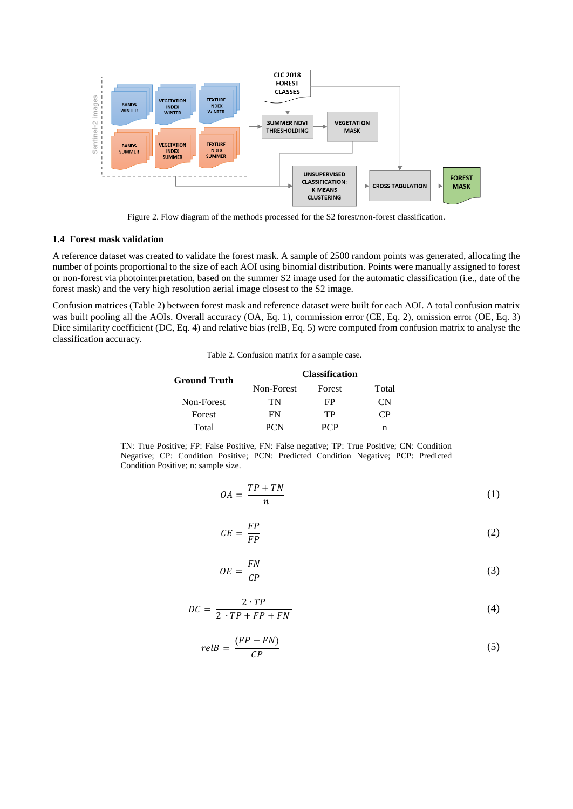

Figure 2. Flow diagram of the methods processed for the S2 forest/non-forest classification.

## <span id="page-3-0"></span>**1.4 Forest mask validation**

A reference dataset was created to validate the forest mask. A sample of 2500 random points was generated, allocating the number of points proportional to the size of each AOI using binomial distribution. Points were manually assigned to forest or non-forest via photointerpretation, based on the summer S2 image used for the automatic classification (i.e., date of the forest mask) and the very high resolution aerial image closest to the S2 image.

<span id="page-3-1"></span>Confusion matrices [\(Table 2\)](#page-3-1) between forest mask and reference dataset were built for each AOI. A total confusion matrix was built pooling all the AOIs. Overall accuracy (OA, Eq. 1), commission error (CE, Eq. 2), omission error (OE, Eq. 3) Dice similarity coefficient (DC, Eq. 4) and relative bias (relB, Eq. 5) were computed from confusion matrix to analyse the classification accuracy.

Table 2. Confusion matrix for a sample case.

| <b>Ground Truth</b> | <b>Classification</b> |        |       |
|---------------------|-----------------------|--------|-------|
|                     | Non-Forest            | Forest | Total |
| Non-Forest          | TN                    | FP.    | СN    |
| Forest              | FN                    | TР     | €P    |
| Total               | PCN                   | PCP    |       |

TN: True Positive; FP: False Positive, FN: False negative; TP: True Positive; CN: Condition Negative; CP: Condition Positive; PCN: Predicted Condition Negative; PCP: Predicted Condition Positive; n: sample size.

$$
OA = \frac{TP + TN}{n}
$$
 (1)

$$
CE = \frac{FP}{FP} \tag{2}
$$

$$
OE = \frac{FN}{CP}
$$
 (3)

$$
DC = \frac{2 \cdot TP}{2 \cdot TP + FP + FN} \tag{4}
$$

$$
relB = \frac{(FP - FN)}{CP} \tag{5}
$$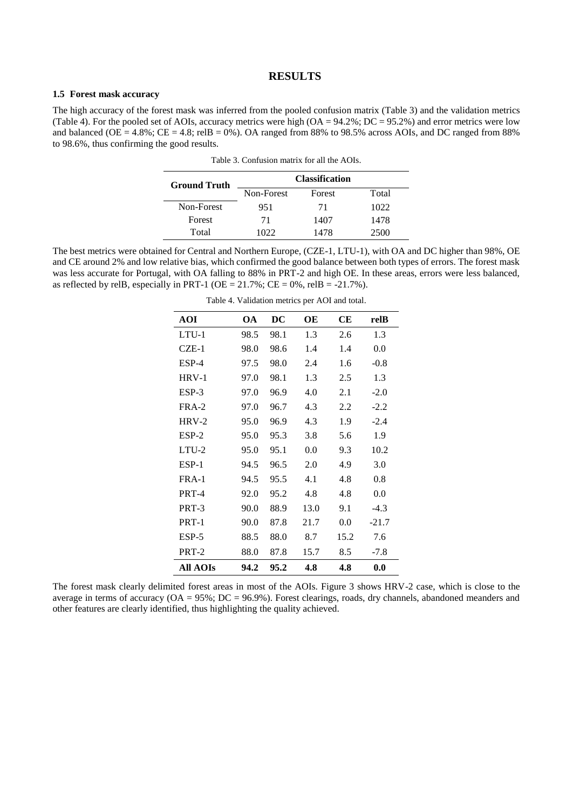## **RESULTS**

#### **1.5 Forest mask accuracy**

<span id="page-4-0"></span>The high accuracy of the forest mask was inferred from the pooled confusion matrix [\(Table 3\)](#page-4-0) and the validation metrics [\(Table 4\)](#page-4-1). For the pooled set of AOIs, accuracy metrics were high  $(OA = 94.2\%; DC = 95.2\%)$  and error metrics were low and balanced (OE = 4.8%; CE = 4.8; relB = 0%). OA ranged from 88% to 98.5% across AOIs, and DC ranged from 88% to 98.6%, thus confirming the good results.

| <b>Ground Truth</b> | <b>Classification</b> |        |       |
|---------------------|-----------------------|--------|-------|
|                     | Non-Forest            | Forest | Total |
| Non-Forest          | 951                   | 71     | 1022  |
| Forest              | 71                    | 1407   | 1478  |
| Total               | 1022                  | 1478   | 2500  |

Table 3. Confusion matrix for all the AOIs.

<span id="page-4-1"></span>The best metrics were obtained for Central and Northern Europe, (CZE-1, LTU-1), with OA and DC higher than 98%, OE and CE around 2% and low relative bias, which confirmed the good balance between both types of errors. The forest mask was less accurate for Portugal, with OA falling to 88% in PRT-2 and high OE. In these areas, errors were less balanced, as reflected by relB, especially in PRT-1 (OE =  $21.7\%$ ; CE = 0%, relB = -21.7%).

| <b>AOI</b>      | <b>OA</b> | $\overline{DC}$ | OE   | CЕ   | relB    |
|-----------------|-----------|-----------------|------|------|---------|
| $LTU-1$         | 98.5      | 98.1            | 1.3  | 2.6  | 1.3     |
| $CZE-1$         | 98.0      | 98.6            | 1.4  | 1.4  | 0.0     |
| $ESP-4$         | 97.5      | 98.0            | 2.4  | 1.6  | $-0.8$  |
| $HRV-1$         | 97.0      | 98.1            | 1.3  | 2.5  | 1.3     |
| $ESP-3$         | 97.0      | 96.9            | 4.0  | 2.1  | $-2.0$  |
| $FRA-2$         | 97.0      | 96.7            | 4.3  | 2.2  | $-2.2$  |
| $HRV-2$         | 95.0      | 96.9            | 4.3  | 1.9  | $-2.4$  |
| $ESP-2$         | 95.0      | 95.3            | 3.8  | 5.6  | 1.9     |
| LTU-2           | 95.0      | 95.1            | 0.0  | 9.3  | 10.2    |
| ESP-1           | 94.5      | 96.5            | 2.0  | 4.9  | 3.0     |
| $FRA-1$         | 94.5      | 95.5            | 4.1  | 4.8  | 0.8     |
| PRT-4           | 92.0      | 95.2            | 4.8  | 4.8  | 0.0     |
| PRT-3           | 90.0      | 88.9            | 13.0 | 9.1  | $-4.3$  |
| PRT-1           | 90.0      | 87.8            | 21.7 | 0.0  | $-21.7$ |
| $ESP-5$         | 88.5      | 88.0            | 8.7  | 15.2 | 7.6     |
| PRT-2           | 88.0      | 87.8            | 15.7 | 8.5  | $-7.8$  |
| <b>All AOIs</b> | 94.2      | 95.2            | 4.8  | 4.8  | 0.0     |

The forest mask clearly delimited forest areas in most of the AOIs. Figure 3 shows HRV-2 case, which is close to the average in terms of accuracy ( $OA = 95\%$ ;  $DC = 96.9\%$ ). Forest clearings, roads, dry channels, abandoned meanders and other features are clearly identified, thus highlighting the quality achieved.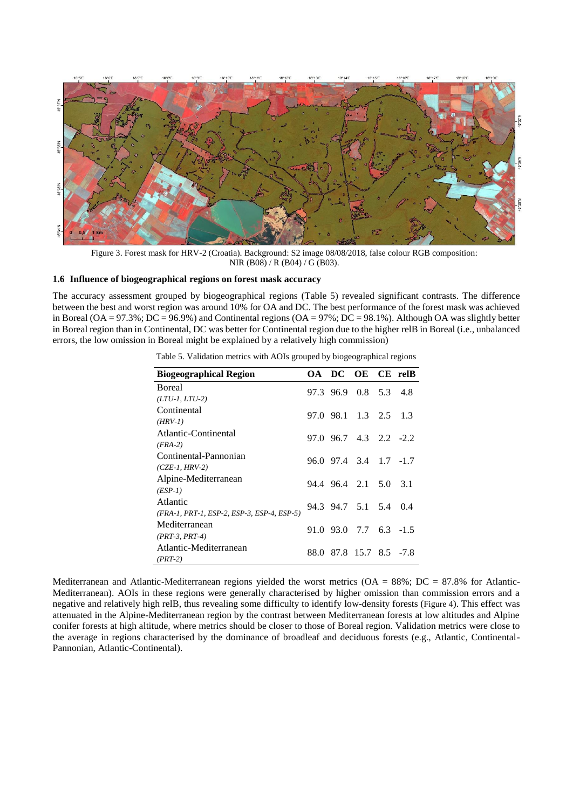

Figure 3. Forest mask for HRV-2 (Croatia). Background: S2 image 08/08/2018, false colour RGB composition: NIR (B08) / R (B04) / G (B03).

## **1.6 Influence of biogeographical regions on forest mask accuracy**

<span id="page-5-0"></span>The accuracy assessment grouped by biogeographical regions [\(Table 5\)](#page-5-0) revealed significant contrasts. The difference between the best and worst region was around 10% for OA and DC. The best performance of the forest mask was achieved in Boreal (OA = 97.3%; DC = 96.9%) and Continental regions (OA = 97%; DC = 98.1%). Although OA was slightly better in Boreal region than in Continental, DC was better for Continental region due to the higher relB in Boreal (i.e., unbalanced errors, the low omission in Boreal might be explained by a relatively high commission)

| <b>Biogeographical Region</b>              |  | OA DC OE CE relB                 |                         |     |
|--------------------------------------------|--|----------------------------------|-------------------------|-----|
| <b>Boreal</b>                              |  | 97.3 96.9 0.8 5.3 4.8            |                         |     |
| $(LTU-1, LTU-2)$                           |  |                                  |                         |     |
| Continental                                |  | 97.0 98.1 1.3 2.5 1.3            |                         |     |
| $(HRV-1)$                                  |  |                                  |                         |     |
| Atlantic-Continental                       |  | $97.0$ $96.7$ $4.3$ $2.2$ $-2.2$ |                         |     |
| $(FRA-2)$                                  |  |                                  |                         |     |
| Continental-Pannonian                      |  | 96.0 97.4 3.4 1.7 -1.7           |                         |     |
| $(CZE-1, HRV-2)$                           |  |                                  |                         |     |
| Alpine-Mediterranean                       |  | 94.4 96.4 2.1 5.0 3.1            |                         |     |
| $(ESP-1)$                                  |  |                                  |                         |     |
| Atlantic                                   |  | 94.3 94.7 5.1 5.4                |                         | 0.4 |
| (FRA-1, PRT-1, ESP-2, ESP-3, ESP-4, ESP-5) |  |                                  |                         |     |
| Mediterranean                              |  | $91.0$ $93.0$ $7.7$ $6.3$ $-1.5$ |                         |     |
| $(PRT-3, PRT-4)$                           |  |                                  |                         |     |
| Atlantic-Mediterranean                     |  |                                  | 88.0 87.8 15.7 8.5 -7.8 |     |
| $(PRT-2)$                                  |  |                                  |                         |     |

Table 5. Validation metrics with AOIs grouped by biogeographical regions

Mediterranean and Atlantic-Mediterranean regions yielded the worst metrics (OA = 88%; DC = 87.8% for Atlantic-Mediterranean). AOIs in these regions were generally characterised by higher omission than commission errors and a negative and relatively high relB, thus revealing some difficulty to identify low-density forests ([Figure 4](#page-6-0)). This effect was attenuated in the Alpine-Mediterranean region by the contrast between Mediterranean forests at low altitudes and Alpine conifer forests at high altitude, where metrics should be closer to those of Boreal region. Validation metrics were close to the average in regions characterised by the dominance of broadleaf and deciduous forests (e.g., Atlantic, Continental-Pannonian, Atlantic-Continental).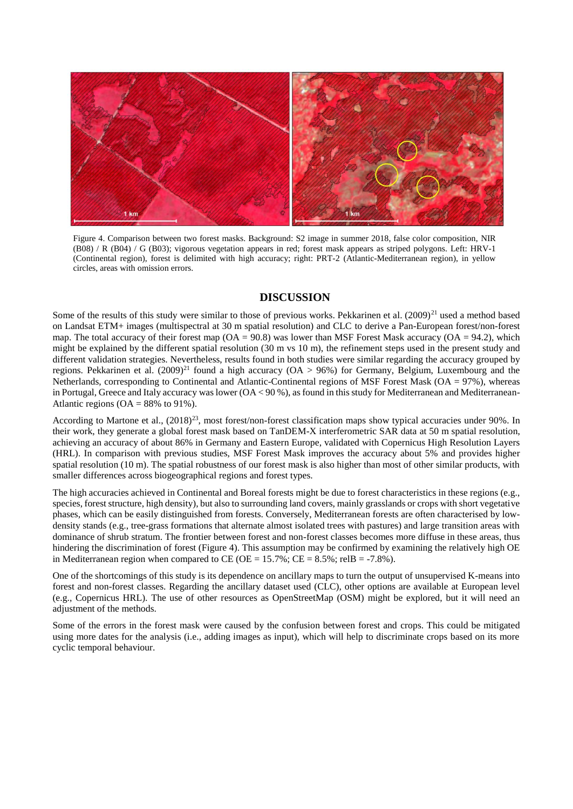

<span id="page-6-0"></span>Figure 4. Comparison between two forest masks. Background: S2 image in summer 2018, false color composition, NIR (B08) / R (B04) / G (B03); vigorous vegetation appears in red; forest mask appears as striped polygons. Left: HRV-1 (Continental region), forest is delimited with high accuracy; right: PRT-2 (Atlantic-Mediterranean region), in yellow circles, areas with omission errors.

# **DISCUSSION**

Some of the results of this study were similar to those of previous works. Pekkarinen et al.  $(2009)^{21}$  used a method based on Landsat ETM+ images (multispectral at 30 m spatial resolution) and CLC to derive a Pan-European forest/non-forest map. The total accuracy of their forest map  $(OA = 90.8)$  was lower than MSF Forest Mask accuracy  $(OA = 94.2)$ , which might be explained by the different spatial resolution (30 m vs 10 m), the refinement steps used in the present study and different validation strategies. Nevertheless, results found in both studies were similar regarding the accuracy grouped by regions. Pekkarinen et al. (2009)<sup>21</sup> found a high accuracy (OA > 96%) for Germany, Belgium, Luxembourg and the Netherlands, corresponding to Continental and Atlantic-Continental regions of MSF Forest Mask (OA = 97%), whereas in Portugal, Greece and Italy accuracy was lower (OA < 90 %), as found in this study for Mediterranean and Mediterranean-Atlantic regions ( $OA = 88\%$  to 91%).

According to Martone et al.,  $(2018)^{23}$ , most forest/non-forest classification maps show typical accuracies under 90%. In their work, they generate a global forest mask based on TanDEM-X interferometric SAR data at 50 m spatial resolution, achieving an accuracy of about 86% in Germany and Eastern Europe, validated with Copernicus High Resolution Layers (HRL). In comparison with previous studies, MSF Forest Mask improves the accuracy about 5% and provides higher spatial resolution (10 m). The spatial robustness of our forest mask is also higher than most of other similar products, with smaller differences across biogeographical regions and forest types.

The high accuracies achieved in Continental and Boreal forests might be due to forest characteristics in these regions (e.g., species, forest structure, high density), but also to surrounding land covers, mainly grasslands or crops with short vegetative phases, which can be easily distinguished from forests. Conversely, Mediterranean forests are often characterised by lowdensity stands (e.g., tree-grass formations that alternate almost isolated trees with pastures) and large transition areas with dominance of shrub stratum. The frontier between forest and non-forest classes becomes more diffuse in these areas, thus hindering the discrimination of forest [\(Figure 4\)](#page-6-0). This assumption may be confirmed by examining the relatively high OE in Mediterranean region when compared to CE (OE =  $15.7\%$ ; CE =  $8.5\%$ ; relB =  $-7.8\%$ ).

One of the shortcomings of this study is its dependence on ancillary maps to turn the output of unsupervised K-means into forest and non-forest classes. Regarding the ancillary dataset used (CLC), other options are available at European level (e.g., Copernicus HRL). The use of other resources as OpenStreetMap (OSM) might be explored, but it will need an adjustment of the methods.

Some of the errors in the forest mask were caused by the confusion between forest and crops. This could be mitigated using more dates for the analysis (i.e., adding images as input), which will help to discriminate crops based on its more cyclic temporal behaviour.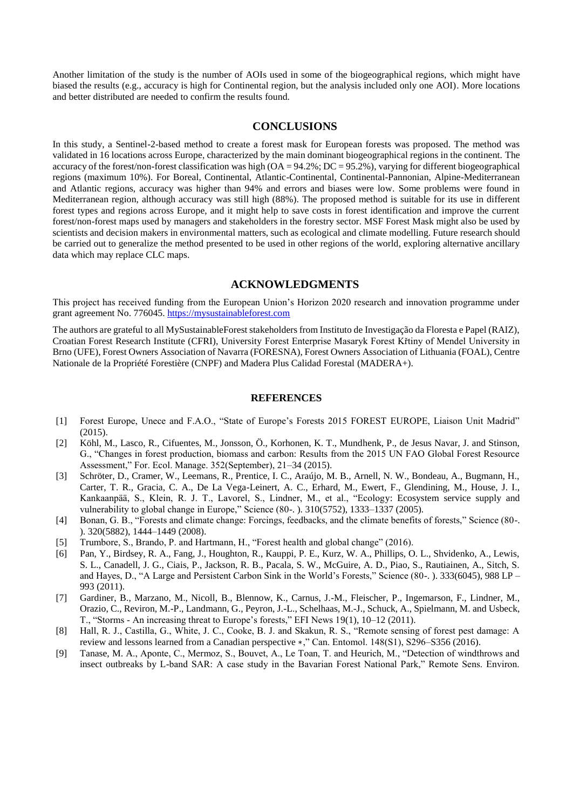Another limitation of the study is the number of AOIs used in some of the biogeographical regions, which might have biased the results (e.g., accuracy is high for Continental region, but the analysis included only one AOI). More locations and better distributed are needed to confirm the results found.

# **CONCLUSIONS**

In this study, a Sentinel-2-based method to create a forest mask for European forests was proposed. The method was validated in 16 locations across Europe, characterized by the main dominant biogeographical regions in the continent. The accuracy of the forest/non-forest classification was high  $(OA = 94.2\%; DC = 95.2\%)$ , varying for different biogeographical regions (maximum 10%). For Boreal, Continental, Atlantic-Continental, Continental-Pannonian, Alpine-Mediterranean and Atlantic regions, accuracy was higher than 94% and errors and biases were low. Some problems were found in Mediterranean region, although accuracy was still high (88%). The proposed method is suitable for its use in different forest types and regions across Europe, and it might help to save costs in forest identification and improve the current forest/non-forest maps used by managers and stakeholders in the forestry sector. MSF Forest Mask might also be used by scientists and decision makers in environmental matters, such as ecological and climate modelling. Future research should be carried out to generalize the method presented to be used in other regions of the world, exploring alternative ancillary data which may replace CLC maps.

# **ACKNOWLEDGMENTS**

This project has received funding from the European Union's Horizon 2020 research and innovation programme under grant agreement No. 776045. [https://mysustainableforest.com](https://mysustainableforest.com/)

The authors are grateful to all MySustainableForest stakeholders from Instituto de Investigação da Floresta e Papel (RAIZ), Croatian Forest Research Institute (CFRI), University Forest Enterprise Masaryk Forest Křtiny of Mendel University in Brno (UFE), Forest Owners Association of Navarra (FORESNA), Forest Owners Association of Lithuania (FOAL), Centre Nationale de la Propriété Forestière (CNPF) and Madera Plus Calidad Forestal (MADERA+).

## **REFERENCES**

- [1] Forest Europe, Unece and F.A.O., "State of Europe's Forests 2015 FOREST EUROPE, Liaison Unit Madrid" (2015).
- [2] Köhl, M., Lasco, R., Cifuentes, M., Jonsson, Ö., Korhonen, K. T., Mundhenk, P., de Jesus Navar, J. and Stinson, G., "Changes in forest production, biomass and carbon: Results from the 2015 UN FAO Global Forest Resource Assessment," For. Ecol. Manage. 352(September), 21–34 (2015).
- [3] Schröter, D., Cramer, W., Leemans, R., Prentice, I. C., Araújo, M. B., Arnell, N. W., Bondeau, A., Bugmann, H., Carter, T. R., Gracia, C. A., De La Vega-Leinert, A. C., Erhard, M., Ewert, F., Glendining, M., House, J. I., Kankaanpää, S., Klein, R. J. T., Lavorel, S., Lindner, M., et al., "Ecology: Ecosystem service supply and vulnerability to global change in Europe," Science (80-. ). 310(5752), 1333–1337 (2005).
- [4] Bonan, G. B., "Forests and climate change: Forcings, feedbacks, and the climate benefits of forests," Science (80-. ). 320(5882), 1444–1449 (2008).
- [5] Trumbore, S., Brando, P. and Hartmann, H., "Forest health and global change" (2016).
- [6] Pan, Y., Birdsey, R. A., Fang, J., Houghton, R., Kauppi, P. E., Kurz, W. A., Phillips, O. L., Shvidenko, A., Lewis, S. L., Canadell, J. G., Ciais, P., Jackson, R. B., Pacala, S. W., McGuire, A. D., Piao, S., Rautiainen, A., Sitch, S. and Hayes, D., "A Large and Persistent Carbon Sink in the World's Forests," Science (80-. ). 333(6045), 988 LP – 993 (2011).
- [7] Gardiner, B., Marzano, M., Nicoll, B., Blennow, K., Carnus, J.-M., Fleischer, P., Ingemarson, F., Lindner, M., Orazio, C., Reviron, M.-P., Landmann, G., Peyron, J.-L., Schelhaas, M.-J., Schuck, A., Spielmann, M. and Usbeck, T., "Storms - An increasing threat to Europe's forests," EFI News 19(1), 10–12 (2011).
- [8] Hall, R. J., Castilla, G., White, J. C., Cooke, B. J. and Skakun, R. S., "Remote sensing of forest pest damage: A review and lessons learned from a Canadian perspective ∗," Can. Entomol. 148(S1), S296–S356 (2016).
- [9] Tanase, M. A., Aponte, C., Mermoz, S., Bouvet, A., Le Toan, T. and Heurich, M., "Detection of windthrows and insect outbreaks by L-band SAR: A case study in the Bavarian Forest National Park," Remote Sens. Environ.